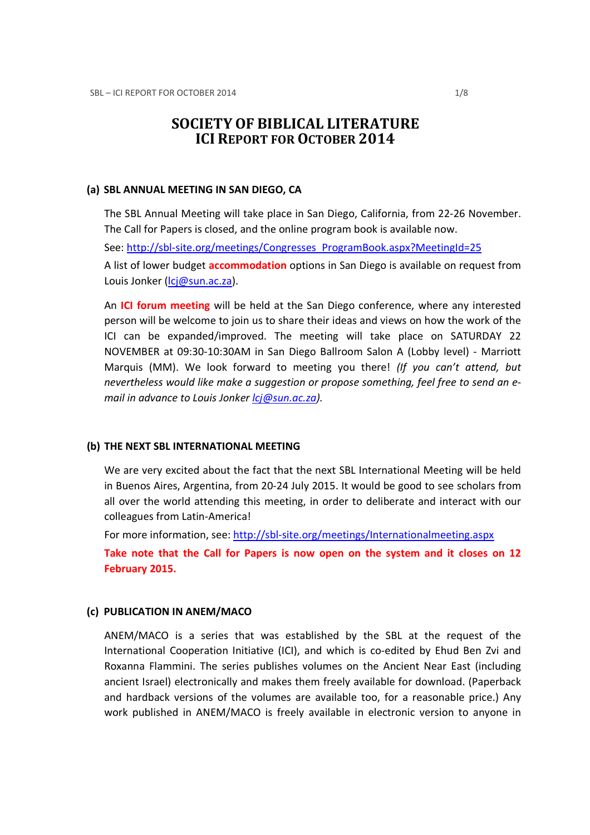# SOCIETY OF BIBLICAL LITERATURE ICI REPORT FOR OCTOBER 2014

### (a) SBL ANNUAL MEETING IN SAN DIEGO, CA

The SBL Annual Meeting will take place in San Diego, California, from 22-26 November. The Call for Papers is closed, and the online program book is available now. See: http://sbl-site.org/meetings/Congresses\_ProgramBook.aspx?MeetingId=25 A list of lower budget **accommodation** options in San Diego is available on request from Louis Jonker (lcj@sun.ac.za).

An ICI forum meeting will be held at the San Diego conference, where any interested person will be welcome to join us to share their ideas and views on how the work of the ICI can be expanded/improved. The meeting will take place on SATURDAY 22 NOVEMBER at 09:30-10:30AM in San Diego Ballroom Salon A (Lobby level) - Marriott Marquis (MM). We look forward to meeting you there! (If you can't attend, but nevertheless would like make a suggestion or propose something, feel free to send an email in advance to Louis Jonker lcj@sun.ac.za).

### (b) THE NEXT SBL INTERNATIONAL MEETING

We are very excited about the fact that the next SBL International Meeting will be held in Buenos Aires, Argentina, from 20-24 July 2015. It would be good to see scholars from all over the world attending this meeting, in order to deliberate and interact with our colleagues from Latin-America!

For more information, see: http://sbl-site.org/meetings/Internationalmeeting.aspx

Take note that the Call for Papers is now open on the system and it closes on 12 February 2015.

### (c) PUBLICATION IN ANEM/MACO

ANEM/MACO is a series that was established by the SBL at the request of the International Cooperation Initiative (ICI), and which is co-edited by Ehud Ben Zvi and Roxanna Flammini. The series publishes volumes on the Ancient Near East (including ancient Israel) electronically and makes them freely available for download. (Paperback and hardback versions of the volumes are available too, for a reasonable price.) Any work published in ANEM/MACO is freely available in electronic version to anyone in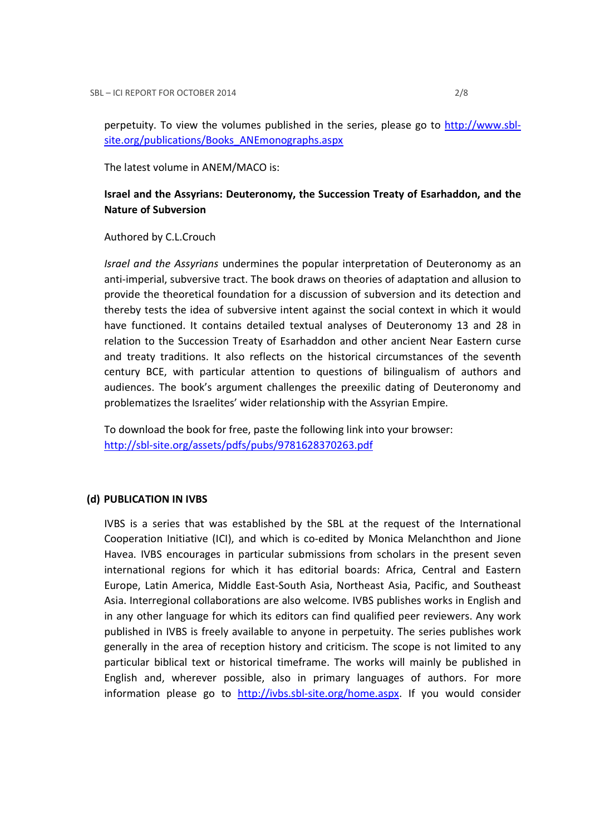perpetuity. To view the volumes published in the series, please go to http://www.sblsite.org/publications/Books\_ANEmonographs.aspx

The latest volume in ANEM/MACO is:

# Israel and the Assyrians: Deuteronomy, the Succession Treaty of Esarhaddon, and the Nature of Subversion

Authored by C.L.Crouch

Israel and the Assyrians undermines the popular interpretation of Deuteronomy as an anti-imperial, subversive tract. The book draws on theories of adaptation and allusion to provide the theoretical foundation for a discussion of subversion and its detection and thereby tests the idea of subversive intent against the social context in which it would have functioned. It contains detailed textual analyses of Deuteronomy 13 and 28 in relation to the Succession Treaty of Esarhaddon and other ancient Near Eastern curse and treaty traditions. It also reflects on the historical circumstances of the seventh century BCE, with particular attention to questions of bilingualism of authors and audiences. The book's argument challenges the preexilic dating of Deuteronomy and problematizes the Israelites' wider relationship with the Assyrian Empire.

To download the book for free, paste the following link into your browser: http://sbl-site.org/assets/pdfs/pubs/9781628370263.pdf

#### (d) PUBLICATION IN IVBS

IVBS is a series that was established by the SBL at the request of the International Cooperation Initiative (ICI), and which is co-edited by Monica Melanchthon and Jione Havea. IVBS encourages in particular submissions from scholars in the present seven international regions for which it has editorial boards: Africa, Central and Eastern Europe, Latin America, Middle East-South Asia, Northeast Asia, Pacific, and Southeast Asia. Interregional collaborations are also welcome. IVBS publishes works in English and in any other language for which its editors can find qualified peer reviewers. Any work published in IVBS is freely available to anyone in perpetuity. The series publishes work generally in the area of reception history and criticism. The scope is not limited to any particular biblical text or historical timeframe. The works will mainly be published in English and, wherever possible, also in primary languages of authors. For more information please go to http://ivbs.sbl-site.org/home.aspx. If you would consider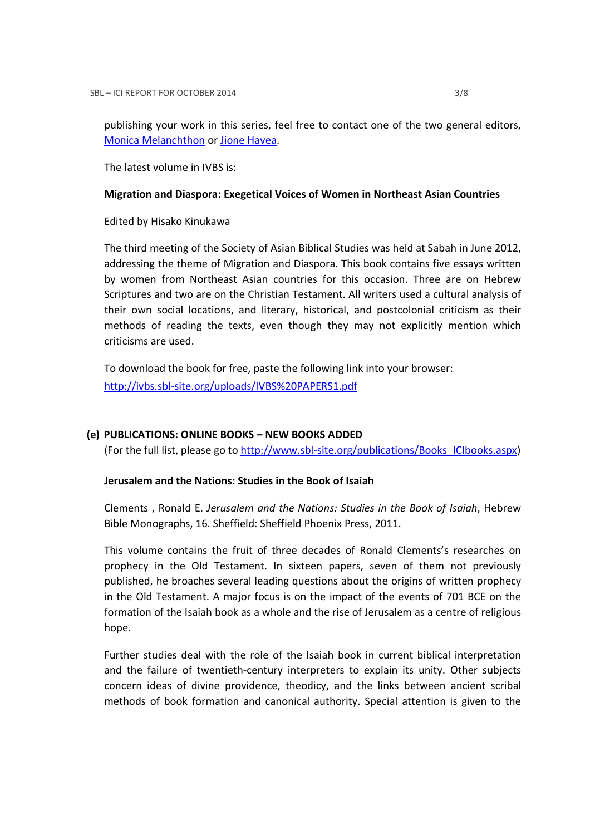publishing your work in this series, feel free to contact one of the two general editors, Monica Melanchthon or Jione Havea.

The latest volume in IVBS is:

### Migration and Diaspora: Exegetical Voices of Women in Northeast Asian Countries

Edited by Hisako Kinukawa

The third meeting of the Society of Asian Biblical Studies was held at Sabah in June 2012, addressing the theme of Migration and Diaspora. This book contains five essays written by women from Northeast Asian countries for this occasion. Three are on Hebrew Scriptures and two are on the Christian Testament. All writers used a cultural analysis of their own social locations, and literary, historical, and postcolonial criticism as their methods of reading the texts, even though they may not explicitly mention which criticisms are used.

To download the book for free, paste the following link into your browser: http://ivbs.sbl-site.org/uploads/IVBS%20PAPERS1.pdf

### (e) PUBLICATIONS: ONLINE BOOKS – NEW BOOKS ADDED

(For the full list, please go to http://www.sbl-site.org/publications/Books\_ICIbooks.aspx)

### Jerusalem and the Nations: Studies in the Book of Isaiah

Clements , Ronald E. Jerusalem and the Nations: Studies in the Book of Isaiah, Hebrew Bible Monographs, 16. Sheffield: Sheffield Phoenix Press, 2011.

This volume contains the fruit of three decades of Ronald Clements's researches on prophecy in the Old Testament. In sixteen papers, seven of them not previously published, he broaches several leading questions about the origins of written prophecy in the Old Testament. A major focus is on the impact of the events of 701 BCE on the formation of the Isaiah book as a whole and the rise of Jerusalem as a centre of religious hope.

Further studies deal with the role of the Isaiah book in current biblical interpretation and the failure of twentieth-century interpreters to explain its unity. Other subjects concern ideas of divine providence, theodicy, and the links between ancient scribal methods of book formation and canonical authority. Special attention is given to the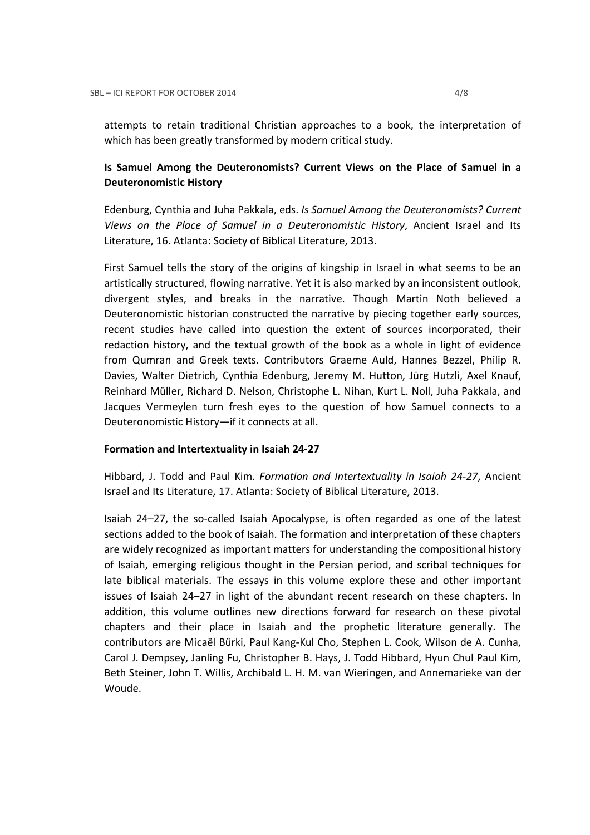attempts to retain traditional Christian approaches to a book, the interpretation of which has been greatly transformed by modern critical study.

# Is Samuel Among the Deuteronomists? Current Views on the Place of Samuel in a Deuteronomistic History

Edenburg, Cynthia and Juha Pakkala, eds. Is Samuel Among the Deuteronomists? Current Views on the Place of Samuel in a Deuteronomistic History, Ancient Israel and Its Literature, 16. Atlanta: Society of Biblical Literature, 2013.

First Samuel tells the story of the origins of kingship in Israel in what seems to be an artistically structured, flowing narrative. Yet it is also marked by an inconsistent outlook, divergent styles, and breaks in the narrative. Though Martin Noth believed a Deuteronomistic historian constructed the narrative by piecing together early sources, recent studies have called into question the extent of sources incorporated, their redaction history, and the textual growth of the book as a whole in light of evidence from Qumran and Greek texts. Contributors Graeme Auld, Hannes Bezzel, Philip R. Davies, Walter Dietrich, Cynthia Edenburg, Jeremy M. Hutton, Jürg Hutzli, Axel Knauf, Reinhard Müller, Richard D. Nelson, Christophe L. Nihan, Kurt L. Noll, Juha Pakkala, and Jacques Vermeylen turn fresh eyes to the question of how Samuel connects to a Deuteronomistic History—if it connects at all.

### Formation and Intertextuality in Isaiah 24-27

Hibbard, J. Todd and Paul Kim. Formation and Intertextuality in Isaiah 24-27, Ancient Israel and Its Literature, 17. Atlanta: Society of Biblical Literature, 2013.

Isaiah 24–27, the so-called Isaiah Apocalypse, is often regarded as one of the latest sections added to the book of Isaiah. The formation and interpretation of these chapters are widely recognized as important matters for understanding the compositional history of Isaiah, emerging religious thought in the Persian period, and scribal techniques for late biblical materials. The essays in this volume explore these and other important issues of Isaiah 24–27 in light of the abundant recent research on these chapters. In addition, this volume outlines new directions forward for research on these pivotal chapters and their place in Isaiah and the prophetic literature generally. The contributors are Micaël Bürki, Paul Kang-Kul Cho, Stephen L. Cook, Wilson de A. Cunha, Carol J. Dempsey, Janling Fu, Christopher B. Hays, J. Todd Hibbard, Hyun Chul Paul Kim, Beth Steiner, John T. Willis, Archibald L. H. M. van Wieringen, and Annemarieke van der Woude.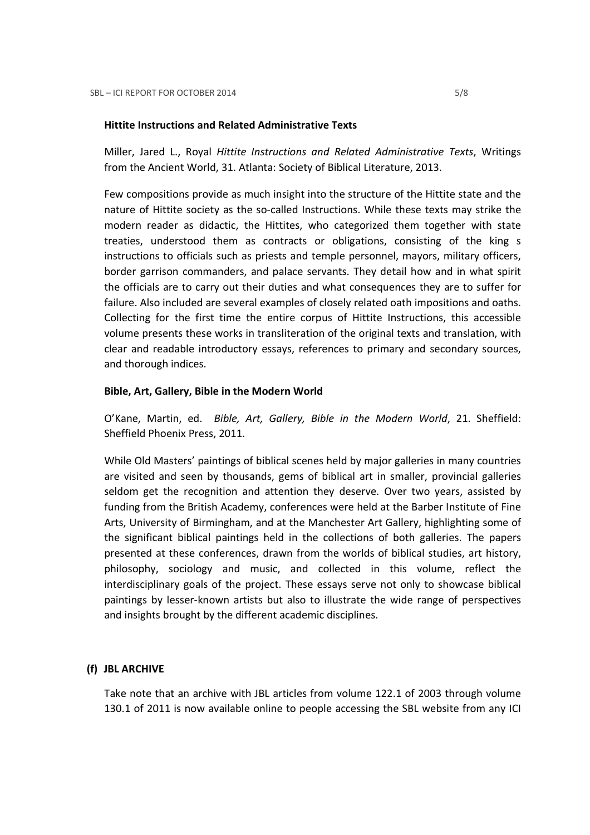### Hittite Instructions and Related Administrative Texts

Miller, Jared L., Royal Hittite Instructions and Related Administrative Texts, Writings from the Ancient World, 31. Atlanta: Society of Biblical Literature, 2013.

Few compositions provide as much insight into the structure of the Hittite state and the nature of Hittite society as the so-called Instructions. While these texts may strike the modern reader as didactic, the Hittites, who categorized them together with state treaties, understood them as contracts or obligations, consisting of the king s instructions to officials such as priests and temple personnel, mayors, military officers, border garrison commanders, and palace servants. They detail how and in what spirit the officials are to carry out their duties and what consequences they are to suffer for failure. Also included are several examples of closely related oath impositions and oaths. Collecting for the first time the entire corpus of Hittite Instructions, this accessible volume presents these works in transliteration of the original texts and translation, with clear and readable introductory essays, references to primary and secondary sources, and thorough indices.

#### Bible, Art, Gallery, Bible in the Modern World

O'Kane, Martin, ed. Bible, Art, Gallery, Bible in the Modern World, 21. Sheffield: Sheffield Phoenix Press, 2011.

While Old Masters' paintings of biblical scenes held by major galleries in many countries are visited and seen by thousands, gems of biblical art in smaller, provincial galleries seldom get the recognition and attention they deserve. Over two years, assisted by funding from the British Academy, conferences were held at the Barber Institute of Fine Arts, University of Birmingham, and at the Manchester Art Gallery, highlighting some of the significant biblical paintings held in the collections of both galleries. The papers presented at these conferences, drawn from the worlds of biblical studies, art history, philosophy, sociology and music, and collected in this volume, reflect the interdisciplinary goals of the project. These essays serve not only to showcase biblical paintings by lesser-known artists but also to illustrate the wide range of perspectives and insights brought by the different academic disciplines.

### (f) JBL ARCHIVE

Take note that an archive with JBL articles from volume 122.1 of 2003 through volume 130.1 of 2011 is now available online to people accessing the SBL website from any ICI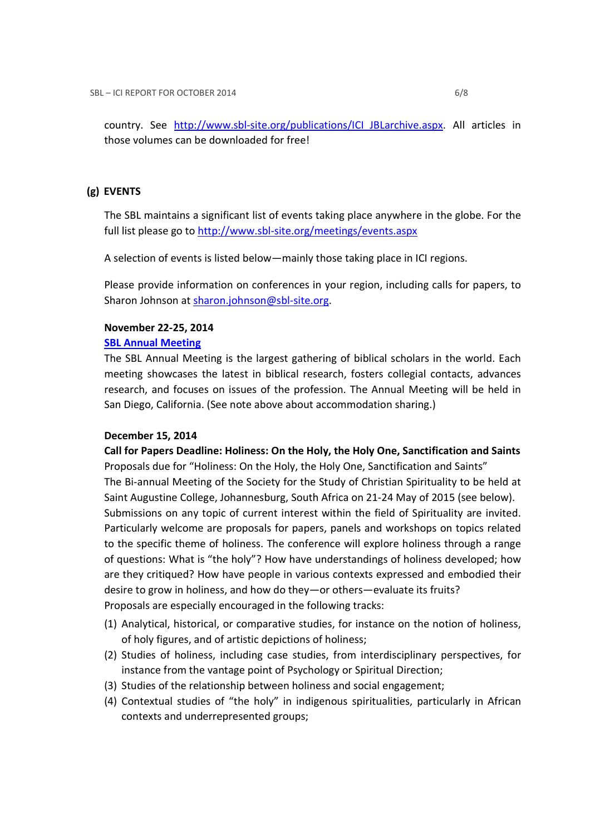country. See http://www.sbl-site.org/publications/ICI\_JBLarchive.aspx. All articles in those volumes can be downloaded for free!

### (g) EVENTS

The SBL maintains a significant list of events taking place anywhere in the globe. For the full list please go to http://www.sbl-site.org/meetings/events.aspx

A selection of events is listed below—mainly those taking place in ICI regions.

Please provide information on conferences in your region, including calls for papers, to Sharon Johnson at sharon.johnson@sbl-site.org.

### November 22-25, 2014

### SBL Annual Meeting

The SBL Annual Meeting is the largest gathering of biblical scholars in the world. Each meeting showcases the latest in biblical research, fosters collegial contacts, advances research, and focuses on issues of the profession. The Annual Meeting will be held in San Diego, California. (See note above about accommodation sharing.)

### December 15, 2014

Call for Papers Deadline: Holiness: On the Holy, the Holy One, Sanctification and Saints Proposals due for "Holiness: On the Holy, the Holy One, Sanctification and Saints" The Bi-annual Meeting of the Society for the Study of Christian Spirituality to be held at Saint Augustine College, Johannesburg, South Africa on 21-24 May of 2015 (see below). Submissions on any topic of current interest within the field of Spirituality are invited. Particularly welcome are proposals for papers, panels and workshops on topics related to the specific theme of holiness. The conference will explore holiness through a range of questions: What is "the holy"? How have understandings of holiness developed; how are they critiqued? How have people in various contexts expressed and embodied their desire to grow in holiness, and how do they—or others—evaluate its fruits? Proposals are especially encouraged in the following tracks:

- (1) Analytical, historical, or comparative studies, for instance on the notion of holiness, of holy figures, and of artistic depictions of holiness;
- (2) Studies of holiness, including case studies, from interdisciplinary perspectives, for instance from the vantage point of Psychology or Spiritual Direction;
- (3) Studies of the relationship between holiness and social engagement;
- (4) Contextual studies of "the holy" in indigenous spiritualities, particularly in African contexts and underrepresented groups;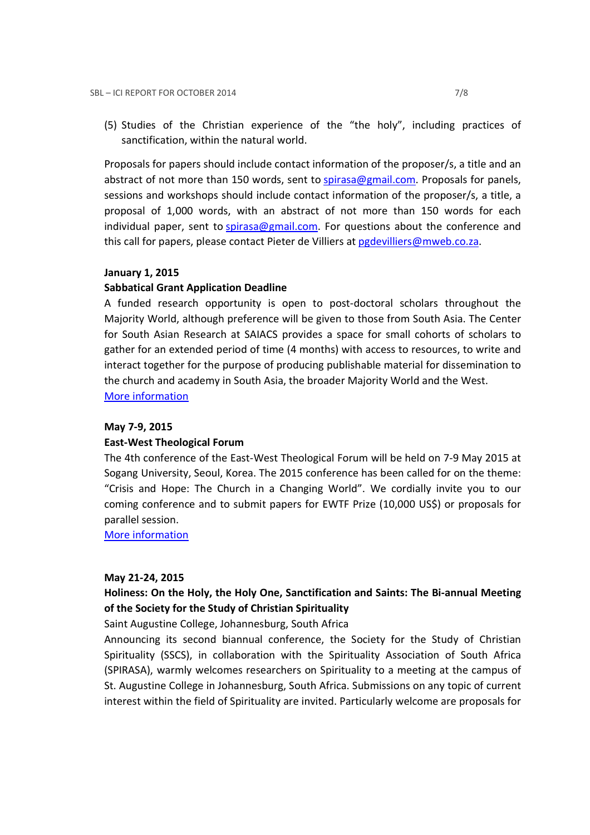(5) Studies of the Christian experience of the "the holy", including practices of sanctification, within the natural world.

Proposals for papers should include contact information of the proposer/s, a title and an abstract of not more than 150 words, sent to spirasa@gmail.com. Proposals for panels, sessions and workshops should include contact information of the proposer/s, a title, a proposal of 1,000 words, with an abstract of not more than 150 words for each individual paper, sent to spirasa@gmail.com. For questions about the conference and this call for papers, please contact Pieter de Villiers at pgdevilliers@mweb.co.za.

#### January 1, 2015

#### Sabbatical Grant Application Deadline

A funded research opportunity is open to post-doctoral scholars throughout the Majority World, although preference will be given to those from South Asia. The Center for South Asian Research at SAIACS provides a space for small cohorts of scholars to gather for an extended period of time (4 months) with access to resources, to write and interact together for the purpose of producing publishable material for dissemination to the church and academy in South Asia, the broader Majority World and the West. More information

#### May 7-9, 2015

#### East-West Theological Forum

The 4th conference of the East-West Theological Forum will be held on 7-9 May 2015 at Sogang University, Seoul, Korea. The 2015 conference has been called for on the theme: "Crisis and Hope: The Church in a Changing World". We cordially invite you to our coming conference and to submit papers for EWTF Prize (10,000 US\$) or proposals for parallel session.

More information

#### May 21-24, 2015

# Holiness: On the Holy, the Holy One, Sanctification and Saints: The Bi-annual Meeting of the Society for the Study of Christian Spirituality

Saint Augustine College, Johannesburg, South Africa

Announcing its second biannual conference, the Society for the Study of Christian Spirituality (SSCS), in collaboration with the Spirituality Association of South Africa (SPIRASA), warmly welcomes researchers on Spirituality to a meeting at the campus of St. Augustine College in Johannesburg, South Africa. Submissions on any topic of current interest within the field of Spirituality are invited. Particularly welcome are proposals for